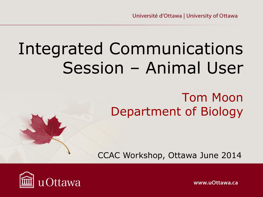# Integrated Communications Session – Animal User

#### Tom Moon Department of Biology

CCAC Workshop, Ottawa June 2014



www.uOttawa.ca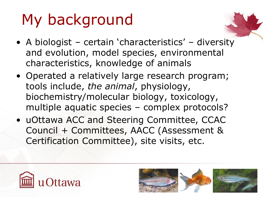# My background

- A biologist certain 'characteristics' diversity and evolution, model species, environmental characteristics, knowledge of animals
- Operated a relatively large research program; tools include, *the animal*, physiology, biochemistry/molecular biology, toxicology, multiple aquatic species – complex protocols?
- uOttawa ACC and Steering Committee, CCAC Council + Committees, AACC (Assessment & Certification Committee), site visits, etc.



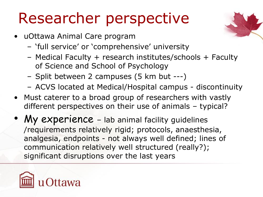#### Researcher perspective

- uOttawa Animal Care program
	- 'full service' or 'comprehensive' university
	- Medical Faculty + research institutes/schools + Faculty of Science and School of Psychology
	- Split between 2 campuses (5 km but ---)
	- ACVS located at Medical/Hospital campus discontinuity
- Must caterer to a broad group of researchers with vastly different perspectives on their use of animals – typical?
- My experience lab animal facility guidelines /requirements relatively rigid; protocols, anaesthesia, analgesia, endpoints - not always well defined; lines of communication relatively well structured (really?); significant disruptions over the last years



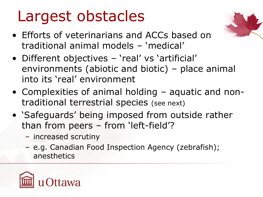#### Largest obstacles

- Efforts of veterinarians and ACCs based on traditional animal models – 'medical'
- Different objectives 'real' vs 'artificial' environments (abiotic and biotic) – place animal into its 'real' environment
- Complexities of animal holding aquatic and nontraditional terrestrial species (see next)
- 'Safeguards' being imposed from outside rather than from peers – from 'left-field'?
	- increased scrutiny
	- e.g. Canadian Food Inspection Agency (zebrafish); anesthetics



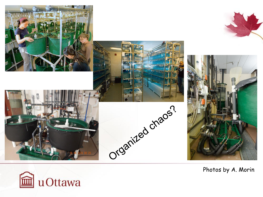

Photos by A. Morin

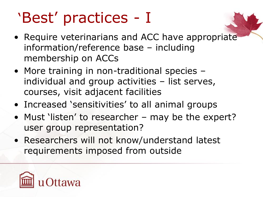### 'Best' practices - I

- Require veterinarians and ACC have appropriate information/reference base – including membership on ACCs
- More training in non-traditional species individual and group activities – list serves, courses, visit adjacent facilities
- Increased 'sensitivities' to all animal groups
- Must 'listen' to researcher may be the expert? user group representation?
- Researchers will not know/understand latest requirements imposed from outside

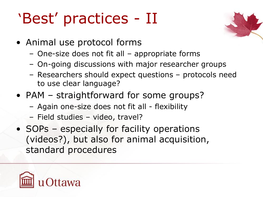## 'Best' practices - II



- Animal use protocol forms
	- One-size does not fit all appropriate forms
	- On-going discussions with major researcher groups
	- Researchers should expect questions protocols need to use clear language?
- PAM straightforward for some groups?
	- Again one-size does not fit all flexibility
	- Field studies video, travel?
- SOPs especially for facility operations (videos?), but also for animal acquisition, standard procedures

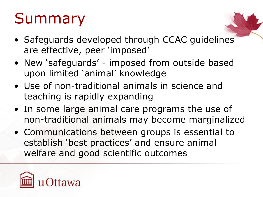## Summary

- Safeguards developed through CCAC guidelines are effective, peer 'imposed'
- New 'safeguards' imposed from outside based upon limited 'animal' knowledge
- Use of non-traditional animals in science and teaching is rapidly expanding
- In some large animal care programs the use of non-traditional animals may become marginalized
- Communications between groups is essential to establish 'best practices' and ensure animal welfare and good scientific outcomes